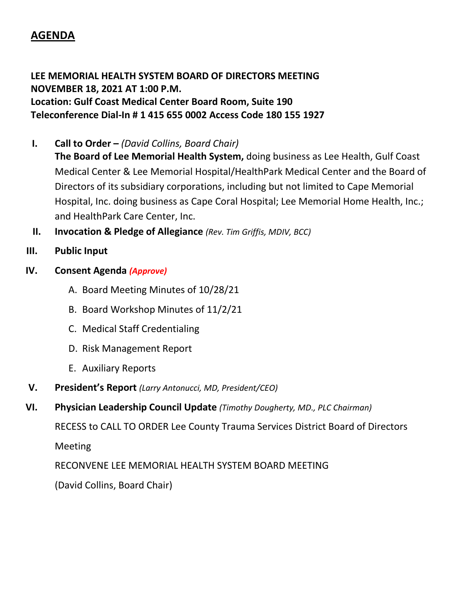## **AGENDA**

**LEE MEMORIAL HEALTH SYSTEM BOARD OF DIRECTORS MEETING NOVEMBER 18, 2021 AT 1:00 P.M. Location: Gulf Coast Medical Center Board Room, Suite 190 Teleconference Dial-In # 1 415 655 0002 Access Code 180 155 1927**

- **I. Call to Order –** *(David Collins, Board Chair)*
	- **The Board of Lee Memorial Health System,** doing business as Lee Health, Gulf Coast Medical Center & Lee Memorial Hospital/HealthPark Medical Center and the Board of Directors of its subsidiary corporations, including but not limited to Cape Memorial Hospital, Inc. doing business as Cape Coral Hospital; Lee Memorial Home Health, Inc.; and HealthPark Care Center, Inc.
- **II. Invocation & Pledge of Allegiance** *(Rev. Tim Griffis, MDIV, BCC)*
- **III. Public Input**
- **IV. Consent Agenda** *(Approve)*
	- A. Board Meeting Minutes of 10/28/21
	- B. Board Workshop Minutes of 11/2/21
	- C. Medical Staff Credentialing
	- D. Risk Management Report
	- E. Auxiliary Reports
- **V. President's Report** *(Larry Antonucci, MD, President/CEO)*
- **VI. Physician Leadership Council Update** *(Timothy Dougherty, MD., PLC Chairman)*

RECESS to CALL TO ORDER Lee County Trauma Services District Board of Directors

Meeting

RECONVENE LEE MEMORIAL HEALTH SYSTEM BOARD MEETING

(David Collins, Board Chair)